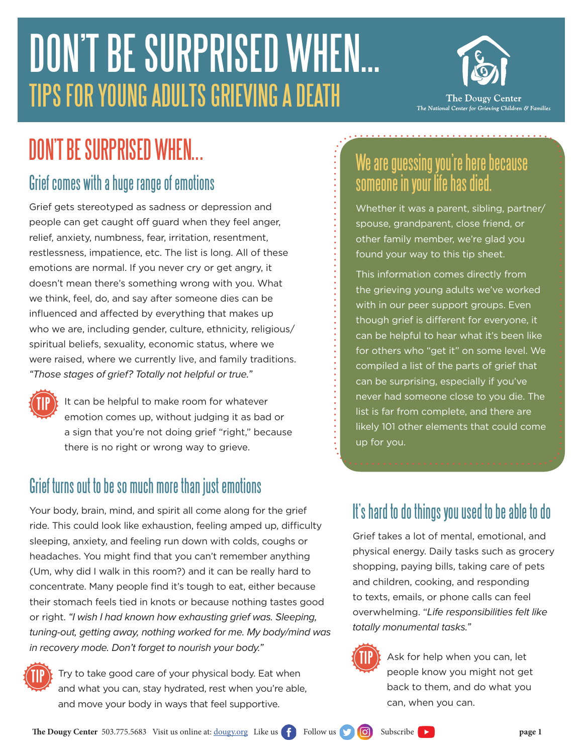# DON'T BE SURPRISED WHEN... TIPS FOR YOUNG ADULTS GRIEVING A DEATH



## DON'T BE SURPRISED WHEN...

#### Grief comes with a huge range of emotions

Grief gets stereotyped as sadness or depression and people can get caught off guard when they feel anger, relief, anxiety, numbness, fear, irritation, resentment, restlessness, impatience, etc. The list is long. All of these emotions are normal. If you never cry or get angry, it doesn't mean there's something wrong with you. What we think, feel, do, and say after someone dies can be influenced and affected by everything that makes up who we are, including gender, culture, ethnicity, religious/ spiritual beliefs, sexuality, economic status, where we were raised, where we currently live, and family traditions. *"Those stages of grief? Totally not helpful or true."*



It can be helpful to make room for whatever emotion comes up, without judging it as bad or a sign that you're not doing grief "right," because there is no right or wrong way to grieve.

#### Grief turns out to be so much more than just emotions

Your body, brain, mind, and spirit all come along for the grief ride. This could look like exhaustion, feeling amped up, difficulty sleeping, anxiety, and feeling run down with colds, coughs or headaches. You might find that you can't remember anything (Um, why did I walk in this room?) and it can be really hard to concentrate. Many people find it's tough to eat, either because their stomach feels tied in knots or because nothing tastes good or right. *"I wish I had known how exhausting grief was. Sleeping, tuning-out, getting away, nothing worked for me. My body/mind was in recovery mode. Don't forget to nourish your body."*



Try to take good care of your physical body. Eat when and what you can, stay hydrated, rest when you're able, and move your body in ways that feel supportive.

### We are guessing you're here because someone in your life has died.

Whether it was a parent, sibling, partner/ spouse, grandparent, close friend, or other family member, we're glad you found your way to this tip sheet.

This information comes directly from the grieving young adults we've worked with in our peer support groups. Even though grief is different for everyone, it can be helpful to hear what it's been like for others who "get it" on some level. We compiled a list of the parts of grief that can be surprising, especially if you've never had someone close to you die. The list is far from complete, and there are likely 101 other elements that could come up for you.

#### It's hard to do things you used to be able to do

Grief takes a lot of mental, emotional, and physical energy. Daily tasks such as grocery shopping, paying bills, taking care of pets and children, cooking, and responding to texts, emails, or phone calls can feel overwhelming. "*Life responsibilities felt like totally monumental tasks."*



Ask for help when you can, let people know you might not get back to them, and do what you can, when you can.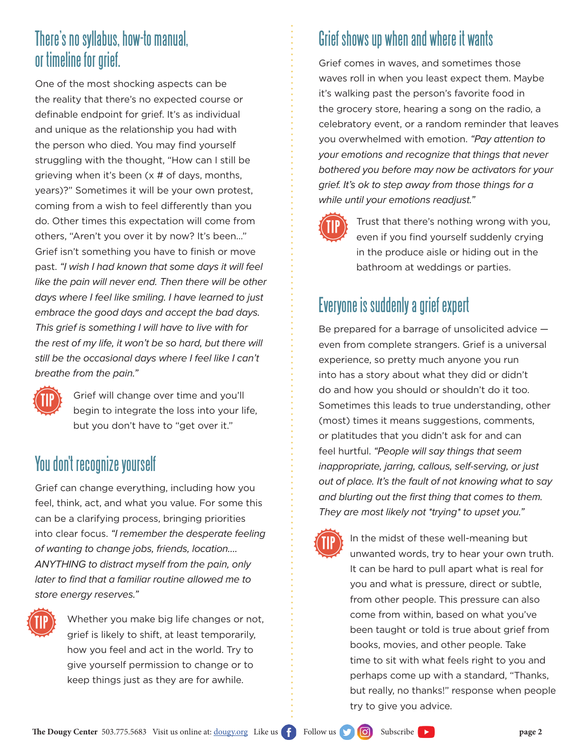#### There's no syllabus, how-to manual, or timeline for grief.

One of the most shocking aspects can be the reality that there's no expected course or definable endpoint for grief. It's as individual and unique as the relationship you had with the person who died. You may find yourself struggling with the thought, "How can I still be grieving when it's been (x # of days, months, years)?" Sometimes it will be your own protest, coming from a wish to feel differently than you do. Other times this expectation will come from others, "Aren't you over it by now? It's been…" Grief isn't something you have to finish or move past. *"I wish I had known that some days it will feel like the pain will never end. Then there will be other days where I feel like smiling. I have learned to just embrace the good days and accept the bad days. This grief is something I will have to live with for the rest of my life, it won't be so hard, but there will still be the occasional days where I feel like I can't breathe from the pain."*



Grief will change over time and you'll begin to integrate the loss into your life, but you don't have to "get over it."

#### You don't recognize yourself

Grief can change everything, including how you feel, think, act, and what you value. For some this can be a clarifying process, bringing priorities into clear focus. *"I remember the desperate feeling of wanting to change jobs, friends, location…. ANYTHING to distract myself from the pain, only*  later to find that a familiar routine allowed me to *store energy reserves."*



Whether you make big life changes or not, grief is likely to shift, at least temporarily, how you feel and act in the world. Try to give yourself permission to change or to keep things just as they are for awhile.

#### Grief shows up when and where it wants

Grief comes in waves, and sometimes those waves roll in when you least expect them. Maybe it's walking past the person's favorite food in the grocery store, hearing a song on the radio, a celebratory event, or a random reminder that leaves you overwhelmed with emotion. *"Pay attention to your emotions and recognize that things that never bothered you before may now be activators for your grief. It's ok to step away from those things for a while until your emotions readjust."*



Trust that there's nothing wrong with you, even if you find yourself suddenly crying in the produce aisle or hiding out in the bathroom at weddings or parties.

#### Everyone is suddenly a grief expert

Be prepared for a barrage of unsolicited advice even from complete strangers. Grief is a universal experience, so pretty much anyone you run into has a story about what they did or didn't do and how you should or shouldn't do it too. Sometimes this leads to true understanding, other (most) times it means suggestions, comments, or platitudes that you didn't ask for and can feel hurtful. *"People will say things that seem inappropriate, jarring, callous, self-serving, or just out of place. It's the fault of not knowing what to say*  and blurting out the first thing that comes to them. *They are most likely not \*trying\* to upset you."*

**TIP**

In the midst of these well-meaning but unwanted words, try to hear your own truth. It can be hard to pull apart what is real for you and what is pressure, direct or subtle, from other people. This pressure can also come from within, based on what you've been taught or told is true about grief from books, movies, and other people. Take time to sit with what feels right to you and perhaps come up with a standard, "Thanks, but really, no thanks!" response when people try to give you advice.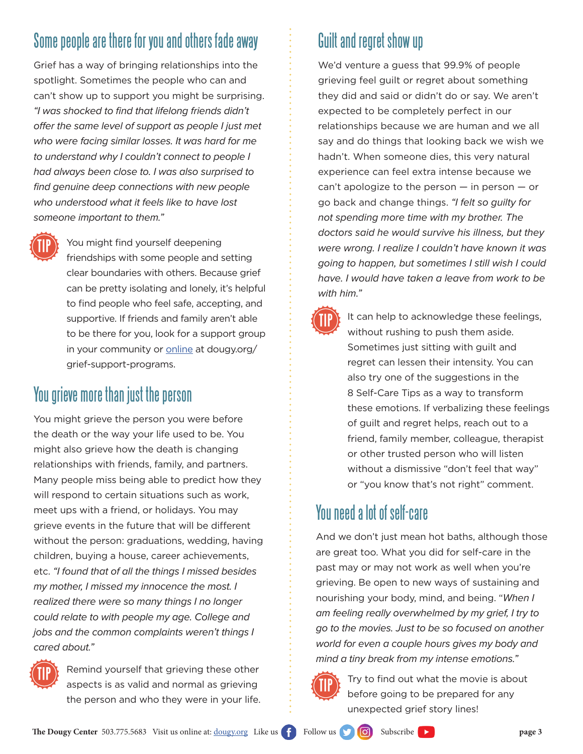#### Some people are there for you and others fade away

Grief has a way of bringing relationships into the spotlight. Sometimes the people who can and can't show up to support you might be surprising. "I was shocked to find that lifelong friends didn't offer the same level of support as people I just met *who were facing similar losses. It was hard for me to understand why I couldn't connect to people I had always been close to. I was also surprised to*  find genuine deep connections with new people *who understood what it feels like to have lost someone important to them."*



You might find yourself deepening friendships with some people and setting clear boundaries with others. Because grief can be pretty isolating and lonely, it's helpful to find people who feel safe, accepting, and supportive. If friends and family aren't able to be there for you, look for a support group in your community or [online](https://www.dougy.org/grief-support-programs/) at dougy.org/ grief-support-programs.

#### You grieve more than just the person

You might grieve the person you were before the death or the way your life used to be. You might also grieve how the death is changing relationships with friends, family, and partners. Many people miss being able to predict how they will respond to certain situations such as work, meet ups with a friend, or holidays. You may grieve events in the future that will be different without the person: graduations, wedding, having children, buying a house, career achievements, etc. *"I found that of all the things I missed besides my mother, I missed my innocence the most. I realized there were so many things I no longer could relate to with people my age. College and jobs and the common complaints weren't things I cared about."*



Remind yourself that grieving these other aspects is as valid and normal as grieving the person and who they were in your life.

#### Guilt and regret show up

We'd venture a guess that 99.9% of people grieving feel guilt or regret about something they did and said or didn't do or say. We aren't expected to be completely perfect in our relationships because we are human and we all say and do things that looking back we wish we hadn't. When someone dies, this very natural experience can feel extra intense because we can't apologize to the person  $-$  in person  $-$  or go back and change things. *"I felt so guilty for not spending more time with my brother. The doctors said he would survive his illness, but they were wrong. I realize I couldn't have known it was going to happen, but sometimes I still wish I could have. I would have taken a leave from work to be with him."*

> It can help to acknowledge these feelings, without rushing to push them aside. Sometimes just sitting with guilt and regret can lessen their intensity. You can also try one of the suggestions in the 8 Self-Care Tips as a way to transform these emotions. If verbalizing these feelings of guilt and regret helps, reach out to a friend, family member, colleague, therapist or other trusted person who will listen without a dismissive "don't feel that way" or "you know that's not right" comment.

#### You need a lot of self-care

And we don't just mean hot baths, although those are great too. What you did for self-care in the past may or may not work as well when you're grieving. Be open to new ways of sustaining and nourishing your body, mind, and being. "*When I am feeling really overwhelmed by my grief, I try to go to the movies. Just to be so focused on another world for even a couple hours gives my body and mind a tiny break from my intense emotions."*



**TIP**

Try to find out what the movie is about before going to be prepared for any unexpected grief story lines!